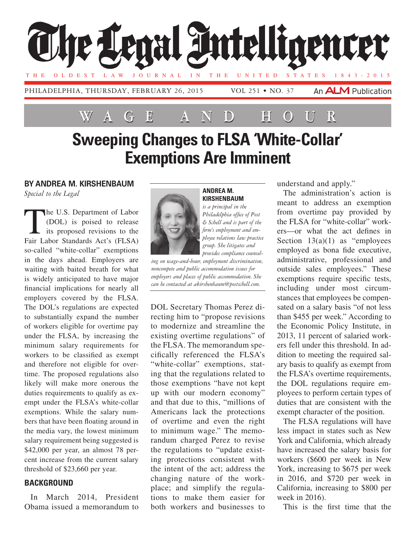

# **Wage and Hour**

## **Sweeping Changes to FLSA 'White-Collar' Exemptions Are Imminent**

#### **By Andrea M. Kirshenbaum**

*Special to the Legal*

The U.S. Department of Labor<br>
(DOL) is poised to release<br>
its proposed revisions to the<br>
Eqir Labor Standards Act's (ELSA) (DOL) is poised to release its proposed revisions to the Fair Labor Standards Act's (FLSA) so-called "white-collar" exemptions in the days ahead. Employers are waiting with baited breath for what is widely anticipated to have major financial implications for nearly all employers covered by the FLSA. The DOL's regulations are expected to substantially expand the number of workers eligible for overtime pay under the FLSA, by increasing the minimum salary requirements for workers to be classified as exempt and therefore not eligible for overtime. The proposed regulations also likely will make more onerous the duties requirements to qualify as exempt under the FLSA's white-collar exemptions. While the salary numbers that have been floating around in the media vary, the lowest minimum salary requirement being suggested is \$42,000 per year, an almost 78 percent increase from the current salary threshold of \$23,660 per year.

#### **Background**

In March 2014, President Obama issued a memorandum to



#### **Andrea M. Kirshenbaum**

*is a principal in the Philadelphia office of Post & Schell and is part of the firm's employment and employee relations law practice group. She litigates and provides compliance counsel-*

*ing on wage-and-hour, employment discrimination, noncompete and public accommodation issues for employers and places of public accommodation. She can be contacted at akirshenbaum@postschell.com.*

DOL Secretary Thomas Perez directing him to "propose revisions to modernize and streamline the existing overtime regulations" of the FLSA. The memorandum specifically referenced the FLSA's "white-collar" exemptions, stating that the regulations related to those exemptions "have not kept up with our modern economy" and that due to this, "millions of Americans lack the protections of overtime and even the right to minimum wage." The memorandum charged Perez to revise the regulations to "update existing protections consistent with the intent of the act; address the changing nature of the workplace; and simplify the regulations to make them easier for both workers and businesses to

understand and apply."

The administration's action is meant to address an exemption from overtime pay provided by the FLSA for "white-collar" workers—or what the act defines in Section  $13(a)(1)$  as "employees" employed as bona fide executive, administrative, professional and outside sales employees." These exemptions require specific tests, including under most circumstances that employees be compensated on a salary basis "of not less than \$455 per week." According to the Economic Policy Institute, in 2013, 11 percent of salaried workers fell under this threshold. In addition to meeting the required salary basis to qualify as exempt from the FLSA's overtime requirements, the DOL regulations require employees to perform certain types of duties that are consistent with the exempt character of the position.

The FLSA regulations will have less impact in states such as New York and California, which already have increased the salary basis for workers (\$600 per week in New York, increasing to \$675 per week in 2016, and \$720 per week in California, increasing to \$800 per week in 2016).

This is the first time that the